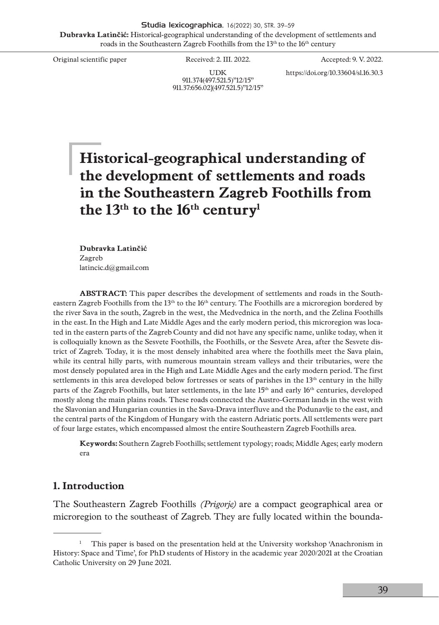Studia lexicographica, 16(2022) 30, STR. 39–59 **Dubravka Latinčić:** Historical-geographical understanding of the development of settlements and roads in the Southeastern Zagreb Foothills from the 13<sup>th</sup> to the 16<sup>th</sup> century

Original scientific paper Received: 2. III. 2022. Accepted: 9. V. 2022.

UDK 911.374(497.521.5)"12/15" 911.37:656.02](497.521.5)"12/15" https://doi.org/10.33604/sl.16.30.3

# **Historical-geographical understanding of the development of settlements and roads in the Southeastern Zagreb Foothills from the 13th to the 16th century1**

**Dubravka Latinčić** Zagreb latincic.d@gmail.com

**ABSTRACT:** This paper describes the development of settlements and roads in the Southeastern Zagreb Foothills from the 13<sup>th</sup> to the 16<sup>th</sup> century. The Foothills are a microregion bordered by the river Sava in the south, Zagreb in the west, the Medvednica in the north, and the Zelina Foothills in the east. In the High and Late Middle Ages and the early modern period, this microregion was located in the eastern parts of the Zagreb County and did not have any specific name, unlike today, when it is colloquially known as the Sesvete Foothills, the Foothills, or the Sesvete Area, after the Sesvete district of Zagreb. Today, it is the most densely inhabited area where the foothills meet the Sava plain, while its central hilly parts, with numerous mountain stream valleys and their tributaries, were the most densely populated area in the High and Late Middle Ages and the early modern period. The first settlements in this area developed below fortresses or seats of parishes in the 13<sup>th</sup> century in the hilly parts of the Zagreb Foothills, but later settlements, in the late 15th and early 16th centuries, developed mostly along the main plains roads. These roads connected the Austro-German lands in the west with the Slavonian and Hungarian counties in the Sava-Drava interfluve and the Podunavlje to the east, and the central parts of the Kingdom of Hungary with the eastern Adriatic ports. All settlements were part of four large estates, which encompassed almost the entire Southeastern Zagreb Foothills area.

**Keywords:** Southern Zagreb Foothills; settlement typology; roads; Middle Ages; early modern era

#### **1. Introduction**

The Southeastern Zagreb Foothills *(Prigorje)* are a compact geographical area or microregion to the southeast of Zagreb. They are fully located within the bounda-

<sup>1</sup> This paper is based on the presentation held at the University workshop 'Anachronism in History: Space and Time', for PhD students of History in the academic year 2020/2021 at the Croatian Catholic University on 29 June 2021.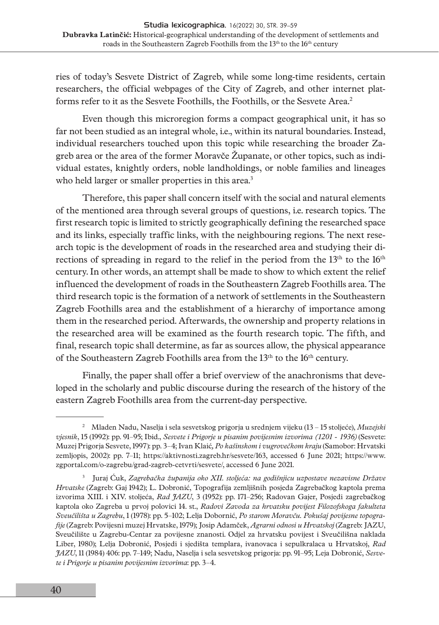ries of today's Sesvete District of Zagreb, while some long-time residents, certain researchers, the official webpages of the City of Zagreb, and other internet platforms refer to it as the Sesvete Foothills, the Foothills, or the Sesvete Area.<sup>2</sup>

Even though this microregion forms a compact geographical unit, it has so far not been studied as an integral whole, i.e., within its natural boundaries. Instead, individual researchers touched upon this topic while researching the broader Zagreb area or the area of the former Moravče Županate, or other topics, such as individual estates, knightly orders, noble landholdings, or noble families and lineages who held larger or smaller properties in this area.<sup>3</sup>

Therefore, this paper shall concern itself with the social and natural elements of the mentioned area through several groups of questions, i.e. research topics. The first research topic is limited to strictly geographically defining the researched space and its links, especially traffic links, with the neighbouring regions. The next research topic is the development of roads in the researched area and studying their directions of spreading in regard to the relief in the period from the  $13<sup>th</sup>$  to the  $16<sup>th</sup>$ century. In other words, an attempt shall be made to show to which extent the relief influenced the development of roads in the Southeastern Zagreb Foothills area. The third research topic is the formation of a network of settlements in the Southeastern Zagreb Foothills area and the establishment of a hierarchy of importance among them in the researched period. Afterwards, the ownership and property relations in the researched area will be examined as the fourth research topic. The fifth, and final, research topic shall determine, as far as sources allow, the physical appearance of the Southeastern Zagreb Foothills area from the 13<sup>th</sup> to the 16<sup>th</sup> century.

Finally, the paper shall offer a brief overview of the anachronisms that developed in the scholarly and public discourse during the research of the history of the eastern Zagreb Foothills area from the current-day perspective.

<sup>2</sup> Mladen Nadu, Naselja i sela sesvetskog prigorja u srednjem vijeku (13 – 15 stoljeće), *Muzejski vjesnik*, 15 (1992): pp. 91–95; Ibid., *Sesvete i Prigorje u pisanim povijesnim izvorima (1201 - 1936)* (Sesvete: Muzej Prigorja Sesvete, 1997): pp. 3–4; Ivan Klaić*, Po kašinskom i vugrovečkom kraju* (Samobor: Hrvatski zemljopis, 2002): pp. 7–11; <https://aktivnosti.zagreb.hr/sesvete/163>, accessed 6 June 2021; [https://www.](https://www.zgportal.com/o-zagrebu/grad-zagreb-cetvrti/sesvete/) [zgportal.com/o-zagrebu/grad-zagreb-cetvrti/sesvete/](https://www.zgportal.com/o-zagrebu/grad-zagreb-cetvrti/sesvete/), accessed 6 June 2021.

<sup>3</sup> Juraj Ćuk, *Zagrebačka županija oko XII. stoljeća: na godišnjicu uzpostave nezavisne Države Hrvatske* (Zagreb: Gaj 1942); L. Dobronić, Topografija zemljišnih posjeda Zagrebačkog kaptola prema izvorima XIII. i XIV. stoljeća, *Rad JAZU*, 3 (1952): pp. 171–256; Radovan Gajer, Posjedi zagrebačkog kaptola oko Zagreba u prvoj polovici 14. st., *Radovi Zavoda za hrvatsku povijest Filozofskoga fakulteta Sveučilišta u Zagrebu*, 1 (1978): pp. 5–102; Lelja Dobornić, *Po starom Moravču. Pokušaj povijesne topografije* (Zagreb: Povijesni muzej Hrvatske, 1979); Josip Adamček, *Agrarni odnosi u Hrvatskoj* (Zagreb: JAZU, Sveučilište u Zagrebu-Centar za povijesne znanosti. Odjel za hrvatsku povijest i Sveučilišna naklada Liber, 1980); Lelja Dobronić, Posjedi i sjedišta templara, ivanovaca i sepulkralaca u Hrvatskoj, *Rad JAZU*, 11 (1984) 406: pp. 7–149; Nadu, Naselja i sela sesvetskog prigorja: pp. 91–95; Leja Dobronić, *Sesvete i Prigorje u pisanim povijesnim izvorima*: pp. 3–4.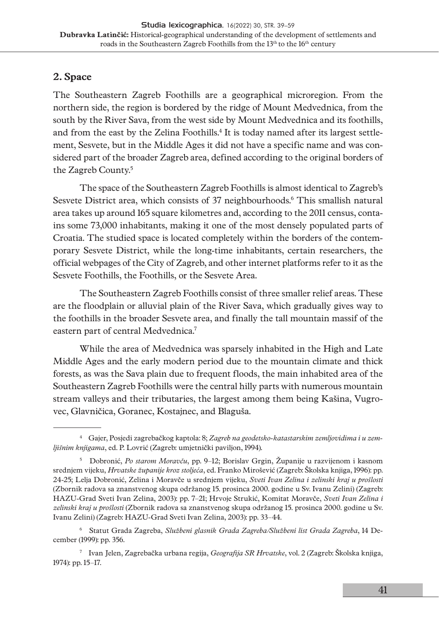# **2. Space**

The Southeastern Zagreb Foothills are a geographical microregion. From the northern side, the region is bordered by the ridge of Mount Medvednica, from the south by the River Sava, from the west side by Mount Medvednica and its foothills, and from the east by the Zelina Foothills. $^4$  It is today named after its largest settlement, Sesvete, but in the Middle Ages it did not have a specific name and was considered part of the broader Zagreb area, defined according to the original borders of the Zagreb County.<sup>5</sup>

The space of the Southeastern Zagreb Foothills is almost identical to Zagreb's Sesvete District area, which consists of 37 neighbourhoods.6 This smallish natural area takes up around 165 square kilometres and, according to the 2011 census, contains some 73,000 inhabitants, making it one of the most densely populated parts of Croatia. The studied space is located completely within the borders of the contemporary Sesvete District, while the long-time inhabitants, certain researchers, the official webpages of the City of Zagreb, and other internet platforms refer to it as the Sesvete Foothills, the Foothills, or the Sesvete Area.

The Southeastern Zagreb Foothills consist of three smaller relief areas. These are the floodplain or alluvial plain of the River Sava, which gradually gives way to the foothills in the broader Sesvete area, and finally the tall mountain massif of the eastern part of central Medvednica.<sup>7</sup>

While the area of Medvednica was sparsely inhabited in the High and Late Middle Ages and the early modern period due to the mountain climate and thick forests, as was the Sava plain due to frequent floods, the main inhabited area of the Southeastern Zagreb Foothills were the central hilly parts with numerous mountain stream valleys and their tributaries, the largest among them being Kašina, Vugrovec, Glavničica, Goranec, Kostajnec, and Blaguša.

<sup>4</sup> Gajer, Posjedi zagrebačkog kaptola: 8; *Zagreb na geodetsko-katastarskim zemljovidima i u zemljišnim knjigama*, ed. P. Lovrić (Zagreb: umjetnički paviljon, 1994).

<sup>5</sup> Dobronić, *Po starom Moravču*, pp. 9–12; Borislav Grgin, Županije u razvijenom i kasnom srednjem vijeku, *Hrvatske županije kroz stoljeća*, ed. Franko Mirošević (Zagreb: Školska knjiga, 1996): pp. 24-25; Lelja Dobronić, Zelina i Moravče u srednjem vijeku, *Sveti Ivan Zelina i zelinski kraj u prošlosti* (Zbornik radova sa znanstvenog skupa održanog 15. prosinca 2000. godine u Sv. Ivanu Zelini) (Zagreb: HAZU-Grad Sveti Ivan Zelina, 2003): pp. 7–21; Hrvoje Strukić, Komitat Moravče, *Sveti Ivan Zelina i zelinski kraj u prošlosti* (Zbornik radova sa znanstvenog skupa održanog 15. prosinca 2000. godine u Sv. Ivanu Zelini) (Zagreb: HAZU-Grad Sveti Ivan Zelina, 2003): pp. 33–44.

<sup>6</sup> Statut Grada Zagreba, *Službeni glasnik Grada Zagreba/Službeni list Grada Zagreba*, 14 December (1999): pp. 356.

<sup>7</sup> Ivan Jelen, Zagrebačka urbana regija, *Geografija SR Hrvatske*, vol. 2 (Zagreb: Školska knjiga, 1974): pp. 15–17.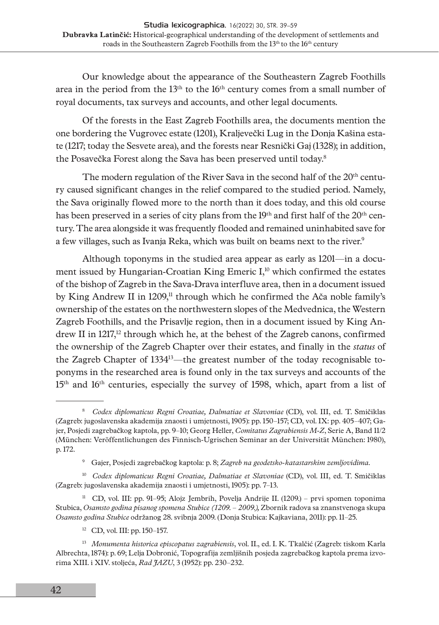Our knowledge about the appearance of the Southeastern Zagreb Foothills area in the period from the  $13<sup>th</sup>$  to the  $16<sup>th</sup>$  century comes from a small number of royal documents, tax surveys and accounts, and other legal documents.

Of the forests in the East Zagreb Foothills area, the documents mention the one bordering the Vugrovec estate (1201), Kraljevečki Lug in the Donja Kašina estate (1217; today the Sesvete area), and the forests near Resnički Gaj (1328); in addition, the Posavečka Forest along the Sava has been preserved until today.8

The modern regulation of the River Sava in the second half of the  $20<sup>th</sup>$  century caused significant changes in the relief compared to the studied period. Namely, the Sava originally flowed more to the north than it does today, and this old course has been preserved in a series of city plans from the 19<sup>th</sup> and first half of the 20<sup>th</sup> century. The area alongside it was frequently flooded and remained uninhabited save for a few villages, such as Ivanja Reka, which was built on beams next to the river.<sup>9</sup>

Although toponyms in the studied area appear as early as 1201—in a document issued by Hungarian-Croatian King Emeric  $I<sub>10</sub><sup>10</sup>$  which confirmed the estates of the bishop of Zagreb in the Sava-Drava interfluve area, then in a document issued by King Andrew II in  $1209<sup>11</sup>$  through which he confirmed the Ača noble family's ownership of the estates on the northwestern slopes of the Medvednica, the Western Zagreb Foothills, and the Prisavlje region, then in a document issued by King Andrew II in  $1217<sup>12</sup>$  through which he, at the behest of the Zagreb canons, confirmed the ownership of the Zagreb Chapter over their estates, and finally in the *status* of the Zagreb Chapter of  $1334^{13}$ —the greatest number of the today recognisable toponyms in the researched area is found only in the tax surveys and accounts of the 15<sup>th</sup> and 16<sup>th</sup> centuries, especially the survey of 1598, which, apart from a list of

12 CD, vol. III: pp. 150–157.

<sup>8</sup> *Codex diplomaticus Regni Croatiae, Dalmatiae et Slavoniae* (CD), vol. III, ed. T. Smičiklas (Zagreb: jugoslavenska akademija znaosti i umjetnosti, 1905): pp. 150–157; CD, vol. IX: pp. 405–407; Gajer, Posjedi zagrebačkog kaptola, pp. 9–10; Georg Heller, *Comitatus Zagrabiensis M-Z*, Serie A, Band 11/2 (München: Veröffentlichungen des Finnisch-Ugrischen Seminar an der Universität München: 1980), p. 172.

<sup>9</sup> Gajer, Posjedi zagrebačkog kaptola: p. 8; *Zagreb na geodetsko-katastarskim zemljovidima.* 

<sup>&</sup>lt;sup>10</sup> *Codex diplomaticus Regni Croatiae, Dalmatiae et Slavoniae* (CD), vol. III, ed. T. Smičiklas (Zagreb: jugoslavenska akademija znaosti i umjetnosti, 1905): pp. 7–13.

<sup>11</sup> CD, vol. III: pp. 91–95; Alojz Jembrih, Povelja Andrije II. (1209.) – prvi spomen toponima Stubica, *Osamsto godina pisanog spomena Stubice (1209. – 2009.),* Zbornik radova sa znanstvenoga skupa *Osamsto godina Stubice* održanog 28. svibnja 2009. (Donja Stubica: Kajkaviana, 2011): pp. 11–25.

<sup>13</sup> *Monumenta historica episcopatus zagrabiensis*, vol. II., ed. I. K. Tkalčić (Zagreb: tiskom Karla Albrechta, 1874): p. 69; Lelja Dobronić, Topografija zemljišnih posjeda zagrebačkog kaptola prema izvorima XIII. i XIV. stoljeća, *Rad JAZU*, 3 (1952): pp. 230–232.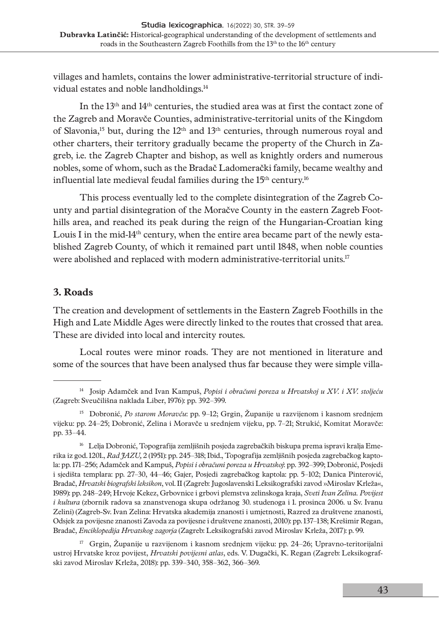villages and hamlets, contains the lower administrative-territorial structure of individual estates and noble landholdings.14

In the 13th and 14th centuries, the studied area was at first the contact zone of the Zagreb and Moravče Counties, administrative-territorial units of the Kingdom of Slavonia,<sup>15</sup> but, during the  $12<sup>th</sup>$  and  $13<sup>th</sup>$  centuries, through numerous royal and other charters, their territory gradually became the property of the Church in Zagreb, i.e. the Zagreb Chapter and bishop, as well as knightly orders and numerous nobles, some of whom, such as the Bradač Ladomerački family, became wealthy and influential late medieval feudal families during the  $15<sup>th</sup>$  century.<sup>16</sup>

This process eventually led to the complete disintegration of the Zagreb County and partial disintegration of the Moračve County in the eastern Zagreb Foothills area, and reached its peak during the reign of the Hungarian-Croatian king Louis I in the mid-14<sup>th</sup> century, when the entire area became part of the newly established Zagreb County, of which it remained part until 1848, when noble counties were abolished and replaced with modern administrative-territorial units.<sup>17</sup>

### **3. Roads**

The creation and development of settlements in the Eastern Zagreb Foothills in the High and Late Middle Ages were directly linked to the routes that crossed that area. These are divided into local and intercity routes.

Local routes were minor roads. They are not mentioned in literature and some of the sources that have been analysed thus far because they were simple villa-

<sup>14</sup> Josip Adamček and Ivan Kampuš, *Popisi i obračuni poreza u Hrvatskoj u XV. i XV. stoljeću*  (Zagreb: Sveučilišna naklada Liber, 1976): pp. 392–399.

<sup>15</sup> Dobronić, *Po starom Moravču*: pp. 9–12; Grgin, Županije u razvijenom i kasnom srednjem vijeku: pp. 24–25; Dobronić, Zelina i Moravče u srednjem vijeku, pp. 7–21; Strukić, Komitat Moravče: pp. 33–44.

<sup>&</sup>lt;sup>16</sup> Lelja Dobronić, Topografija zemljišnih posjeda zagrebačkih biskupa prema ispravi kralja Emerika iz god. 1201., *Rad JAZU,* 2 (1951): pp. 245–318; Ibid., Topografija zemljišnih posjeda zagrebačkog kaptola: pp. 171–256; Adamček and Kampuš, *Popisi i obračuni poreza u Hrvatskoj*: pp. 392–399; Dobronić, Posjedi i sjedišta templara: pp. 27–30, 44–46; Gajer, Posjedi zagrebačkog kaptola: pp. 5–102; Danica Pinterović, Bradač, *Hrvatski biografski leksikon*, vol. II (Zagreb: Jugoslavenski Leksikografski zavod »Miroslav Krleža«, 1989): pp. 248–249; Hrvoje Kekez, Grbovnice i grbovi plemstva zelinskoga kraja, *Sveti Ivan Zelina. Povijest i kultura* (zbornik radova sa znanstvenoga skupa održanog 30. studenoga i 1. prosinca 2006. u Sv. Ivanu Zelini) (Zagreb-Sv. Ivan Zelina: Hrvatska akademija znanosti i umjetnosti, Razred za društvene znanosti, Odsjek za povijesne znanosti Zavoda za povijesne i društvene znanosti, 2010): pp. 137–138; Krešimir Regan, Bradač, *Enciklopedija Hrvatskog zagorja* (Zagreb: Leksikografski zavod Miroslav Krleža, 2017): p. 99.

 $17$  Grgin, Županije u razvijenom i kasnom srednjem vijeku: pp. 24–26; Upravno-teritorijalni ustroj Hrvatske kroz povijest, *Hrvatski povijesni atlas*, eds. V. Dugački, K. Regan (Zagreb: Leksikografski zavod Miroslav Krleža, 2018): pp. 339–340, 358–362, 366–369.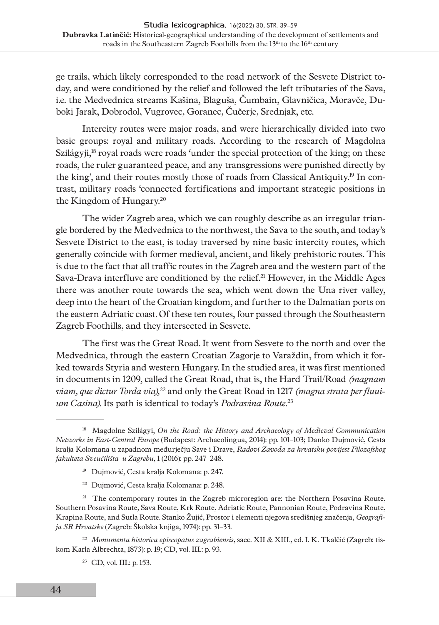ge trails, which likely corresponded to the road network of the Sesvete District today, and were conditioned by the relief and followed the left tributaries of the Sava, i.e. the Medvednica streams Kašina, Blaguša, Čumbain, Glavničica, Moravče, Duboki Jarak, Dobrodol, Vugrovec, Goranec, Čučerje, Srednjak, etc.

Intercity routes were major roads, and were hierarchically divided into two basic groups: royal and military roads. According to the research of Magdolna Szilágyji, $^{18}$  royal roads were roads 'under the special protection of the king; on these roads, the ruler guaranteed peace, and any transgressions were punished directly by the king', and their routes mostly those of roads from Classical Antiquity.19 In contrast, military roads 'connected fortifications and important strategic positions in the Kingdom of Hungary.20

The wider Zagreb area, which we can roughly describe as an irregular triangle bordered by the Medvednica to the northwest, the Sava to the south, and today's Sesvete District to the east, is today traversed by nine basic intercity routes, which generally coincide with former medieval, ancient, and likely prehistoric routes. This is due to the fact that all traffic routes in the Zagreb area and the western part of the Sava-Drava interfluve are conditioned by the relief.<sup>21</sup> However, in the Middle Ages there was another route towards the sea, which went down the Una river valley, deep into the heart of the Croatian kingdom, and further to the Dalmatian ports on the eastern Adriatic coast. Of these ten routes, four passed through the Southeastern Zagreb Foothills, and they intersected in Sesvete.

The first was the Great Road. It went from Sesvete to the north and over the Medvednica, through the eastern Croatian Zagorje to Varaždin, from which it forked towards Styria and western Hungary. In the studied area, it was first mentioned in documents in 1209, called the Great Road, that is, the Hard Trail/Road *(magnam viam, que dictur Torda via),*22 and only the Great Road in 1217 *(magna strata per fluuium Casina)*. Its path is identical to today's *Podravina Route*. 23

- 19 Dujmović, Cesta kralja Kolomana: p. 247.
- 20 Dujmović, Cesta kralja Kolomana: p. 248.

<sup>21</sup> The contemporary routes in the Zagreb microregion are: the Northern Posavina Route, Southern Posavina Route, Sava Route, Krk Route, Adriatic Route, Pannonian Route, Podravina Route, Krapina Route, and Sutla Route. Stanko Žujić, Prostor i elementi njegova središnjeg značenja, *Geografija SR Hrvatske* (Zagreb: Školska knjiga, 1974): pp. 31–33.

<sup>22</sup> *Monumenta historica episcopatus zagrabiensis*, saec. XII & XIII., ed. I. K. Tkalčić (Zagreb: tiskom Karla Albrechta, 1873): p. 19; CD, vol. III.: p. 93.

23 CD, vol. III.: p. 153.

<sup>&</sup>lt;sup>18</sup> Magdolne Szilágyi, *On the Road: the History and Archaeology of Medieval Communication Networks in East-Central Europe* (Budapest: Archaeolingua, 2014): pp. 101–103; Danko Dujmović, Cesta kralja Kolomana u zapadnom međurječju Save i Drave, *Radovi Zavoda za hrvatsku povijest Filozofskog fakulteta Sveučilišta u Zagrebu*, 1 (2016): pp. 247–248.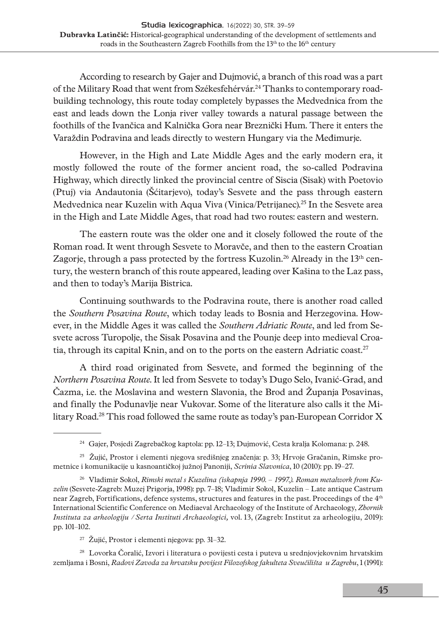According to research by Gajer and Dujmović, a branch of this road was a part of the Military Road that went from Székesfehérvár.24 Thanks to contemporary roadbuilding technology, this route today completely bypasses the Medvednica from the east and leads down the Lonja river valley towards a natural passage between the foothills of the Ivančica and Kalnička Gora near Breznički Hum. There it enters the Varaždin Podravina and leads directly to western Hungary via the Međimurje.

However, in the High and Late Middle Ages and the early modern era, it mostly followed the route of the former ancient road, the so-called Podravina Highway, which directly linked the provincial centre of Siscia (Sisak) with Poetovio (Ptuj) via Andautonia (Šćitarjevo), today's Sesvete and the pass through eastern Medvednica near Kuzelin with Aqua Viva (Vinica/Petrijanec).25 In the Sesvete area in the High and Late Middle Ages, that road had two routes: eastern and western.

The eastern route was the older one and it closely followed the route of the Roman road. It went through Sesvete to Moravče, and then to the eastern Croatian Zagorje, through a pass protected by the fortress Kuzolin.<sup>26</sup> Already in the  $13<sup>th</sup>$  century, the western branch of this route appeared, leading over Kašina to the Laz pass, and then to today's Marija Bistrica.

Continuing southwards to the Podravina route, there is another road called the *Southern Posavina Route*, which today leads to Bosnia and Herzegovina. However, in the Middle Ages it was called the *Southern Adriatic Route*, and led from Sesvete across Turopolje, the Sisak Posavina and the Pounje deep into medieval Croatia, through its capital Knin, and on to the ports on the eastern Adriatic coast.<sup>27</sup>

A third road originated from Sesvete, and formed the beginning of the *Northern Posavina Route*. It led from Sesvete to today's Dugo Selo, Ivanić-Grad, and Čazma, i.e. the Moslavina and western Slavonia, the Brod and Županja Posavinas, and finally the Podunavlje near Vukovar. Some of the literature also calls it the Military Road.28 This road followed the same route as today's pan-European Corridor X

27 Žujić, Prostor i elementi njegova: pp. 31–32.

28 Lovorka Čoralić, Izvori i literatura o povijesti cesta i puteva u srednjovjekovnim hrvatskim zemljama i Bosni, *Radovi Zavoda za hrvatsku povijest Filozofskog fakulteta Sveučilišta u Zagrebu*, 1 (1991):

<sup>24</sup> Gajer, Posjedi Zagrebačkog kaptola: pp. 12–13; Dujmović, Cesta kralja Kolomana: p. 248.

<sup>&</sup>lt;sup>25</sup> Žujić, Prostor i elementi njegova središnjeg značenja: p. 33; Hrvoje Gračanin, Rimske prometnice i komunikacije u kasnoantičkoj južnoj Panoniji, *Scrinia Slavonica*, 10 (2010): pp. 19–27.

<sup>26</sup> Vladimir Sokol, *Rimski metal s Kuzelina (iskapnja 1990. – 1997.). Roman metalwork from Kuzelin* (Sesvete-Zagreb: Muzej Prigorja, 1998): pp. 7–18; Vladimir Sokol, Kuzelin – Late antique Castrum near Zagreb, Fortifications, defence systems, structures and features in the past. Proceedings of the 4th International Scientific Conference on Mediaeval Archaeology of the Institute of Archaeology, *Zbornik Instituta za arheologiju / Serta Instituti Archaeologici,* vol. 13, (Zagreb: Institut za arheologiju, 2019): pp. 101–102.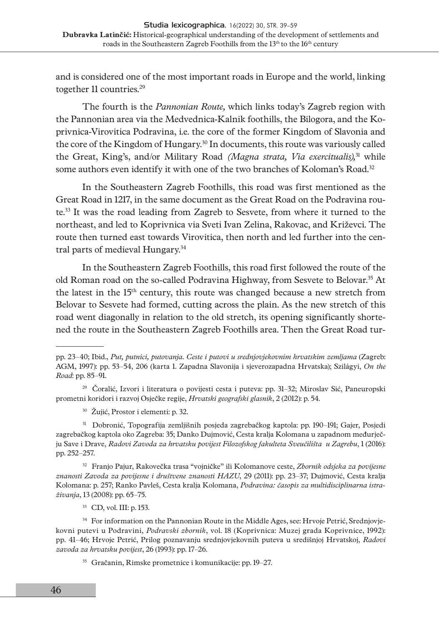and is considered one of the most important roads in Europe and the world, linking together 11 countries.<sup>29</sup>

The fourth is the *Pannonian Route,* which links today's Zagreb region with the Pannonian area via the Medvednica-Kalnik foothills, the Bilogora, and the Koprivnica-Virovitica Podravina, i.e. the core of the former Kingdom of Slavonia and the core of the Kingdom of Hungary.30 In documents, this route was variously called the Great, King's, and/or Military Road *(Magna strata, Via exercitualis),*31 while some authors even identify it with one of the two branches of Koloman's Road.<sup>32</sup>

In the Southeastern Zagreb Foothills, this road was first mentioned as the Great Road in 1217, in the same document as the Great Road on the Podravina route.33 It was the road leading from Zagreb to Sesvete, from where it turned to the northeast, and led to Koprivnica via Sveti Ivan Zelina, Rakovac, and Križevci. The route then turned east towards Virovitica, then north and led further into the central parts of medieval Hungary.<sup>34</sup>

In the Southeastern Zagreb Foothills, this road first followed the route of the old Roman road on the so-called Podravina Highway, from Sesvete to Belovar.35 At the latest in the 15th century, this route was changed because a new stretch from Belovar to Sesvete had formed, cutting across the plain. As the new stretch of this road went diagonally in relation to the old stretch, its opening significantly shortened the route in the Southeastern Zagreb Foothills area. Then the Great Road tur-

30 Žujić, Prostor i elementi: p. 32.

31 Dobronić, Topografija zemljišnih posjeda zagrebačkog kaptola: pp. 190–191; Gajer, Posjedi zagrebačkog kaptola oko Zagreba: 35; Danko Dujmović, Cesta kralja Kolomana u zapadnom međurječju Save i Drave, *Radovi Zavoda za hrvatsku povijest Filozofskog fakulteta Sveučilišta u Zagrebu*, 1 (2016): pp. 252–257.

32 Franjo Pajur, Rakovečka trasa "vojničke" ili Kolomanove ceste, *Zbornik odsjeka za povijesne znanosti Zavoda za povijesne i društvene znanosti HAZU*, 29 (2011): pp. 23–37; Dujmović, Cesta kralja Kolomana: p. 257; Ranko Pavleš, Cesta kralja Kolomana, *Podravina: časopis za multidisciplinarna istraživanja*, 13 (2008): pp. 65–75.

33 CD, vol. III: p. 153.

<sup>34</sup> For information on the Pannonian Route in the Middle Ages, see: Hrvoje Petrić, Srednjovjekovni putevi u Podravini, *Podravski zbornik*, vol. 18 (Koprivnica: Muzej grada Koprivnice, 1992): pp. 41–46; Hrvoje Petrić, Prilog poznavanju srednjovjekovnih puteva u središnjoj Hrvatskoj, *Radovi zavoda za hrvatsku povijest*, 26 (1993): pp. 17–26.

35 Gračanin, Rimske prometnice i komunikacije: pp. 19–27.

pp. 23–40; Ibid., *Put, putnici, putovanja. Ceste i putovi u srednjovjekovnim hrvatskim zemljama* (Zagreb: AGM, 1997): pp. 53–54, 206 (karta 1. Zapadna Slavonija i sjeverozapadna Hrvatska); Szilágyi, *On the Road*: pp. 85–91.

<sup>29</sup> Čoralić, Izvori i literatura o povijesti cesta i puteva: pp. 31–32; Miroslav Sić, Paneuropski prometni koridori i razvoj Osječke regije, *Hrvatski geografski glasnik*, 2 (2012): p. 54.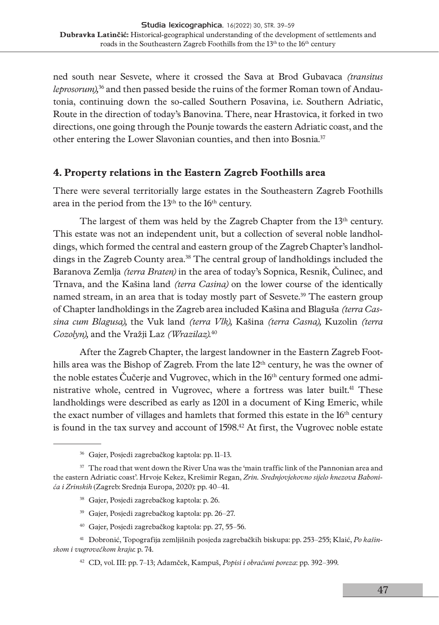ned south near Sesvete, where it crossed the Sava at Brod Gubavaca *(transitus leprosorum),*36 and then passed beside the ruins of the former Roman town of Andautonia, continuing down the so-called Southern Posavina, i.e. Southern Adriatic, Route in the direction of today's Banovina. There, near Hrastovica, it forked in two directions, one going through the Pounje towards the eastern Adriatic coast, and the other entering the Lower Slavonian counties, and then into Bosnia.37

### **4. Property relations in the Eastern Zagreb Foothills area**

There were several territorially large estates in the Southeastern Zagreb Foothills area in the period from the 13<sup>th</sup> to the 16<sup>th</sup> century.

The largest of them was held by the Zagreb Chapter from the 13<sup>th</sup> century. This estate was not an independent unit, but a collection of several noble landholdings, which formed the central and eastern group of the Zagreb Chapter's landholdings in the Zagreb County area.38 The central group of landholdings included the Baranova Zemlja *(terra Braten)* in the area of today's Sopnica, Resnik, Čulinec, and Trnava, and the Kašina land *(terra Casina)* on the lower course of the identically named stream, in an area that is today mostly part of Sesvete.<sup>39</sup> The eastern group of Chapter landholdings in the Zagreb area included Kašina and Blaguša *(terra Cassina cum Blagusa),* the Vuk land *(terra Vlk),* Kašina *(terra Casna),* Kuzolin *(terra Cozolyn),* and the Vražji Laz *(Wrazilaz).*<sup>40</sup>

After the Zagreb Chapter, the largest landowner in the Eastern Zagreb Foothills area was the Bishop of Zagreb. From the late  $12<sup>th</sup>$  century, he was the owner of the noble estates Čučerje and Vugrovec, which in the 16th century formed one administrative whole, centred in Vugrovec, where a fortress was later built.41 These landholdings were described as early as 1201 in a document of King Emeric, while the exact number of villages and hamlets that formed this estate in the 16<sup>th</sup> century is found in the tax survey and account of 1598.42 At first, the Vugrovec noble estate

- 38 Gajer, Posjedi zagrebačkog kaptola: p. 26.
- 39 Gajer, Posjedi zagrebačkog kaptola: pp. 26–27.
- 40 Gajer, Posjedi zagrebačkog kaptola: pp. 27, 55–56.
- 41 Dobronić, Topografija zemljišnih posjeda zagrebačkih biskupa: pp. 253–255; Klaić, *Po kašinskom i vugrovečkom kraju*: p. 74.

<sup>36</sup> Gajer, Posjedi zagrebačkog kaptola: pp. 11–13.

 $37$  The road that went down the River Una was the 'main traffic link of the Pannonian area and the eastern Adriatic coast'. Hrvoje Kekez, Krešimir Regan, *Zrin. Srednjovjekovno sijelo knezova Babonića i Zrinskih* (Zagreb: Srednja Europa, 2020): pp. 40–41.

<sup>42</sup> CD, vol. III: pp. 7–13; Adamček, Kampuš, *Popisi i obračuni poreza*: pp. 392–399.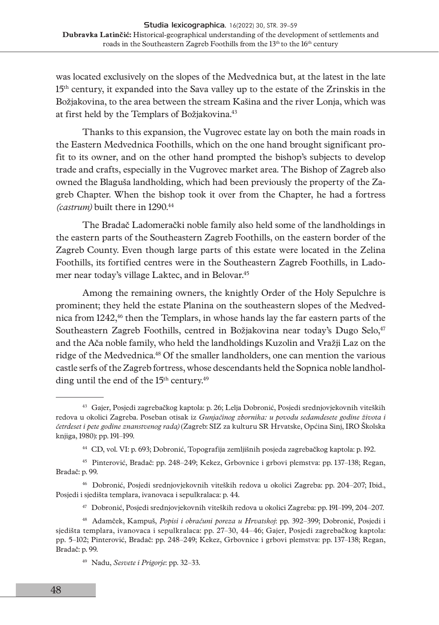was located exclusively on the slopes of the Medvednica but, at the latest in the late 15th century, it expanded into the Sava valley up to the estate of the Zrinskis in the Božjakovina, to the area between the stream Kašina and the river Lonja, which was at first held by the Templars of Božjakovina.43

Thanks to this expansion, the Vugrovec estate lay on both the main roads in the Eastern Medvednica Foothills, which on the one hand brought significant profit to its owner, and on the other hand prompted the bishop's subjects to develop trade and crafts, especially in the Vugrovec market area. The Bishop of Zagreb also owned the Blaguša landholding, which had been previously the property of the Zagreb Chapter. When the bishop took it over from the Chapter, he had a fortress *(castrum)* built there in 1290.44

The Bradač Ladomerački noble family also held some of the landholdings in the eastern parts of the Southeastern Zagreb Foothills, on the eastern border of the Zagreb County. Even though large parts of this estate were located in the Zelina Foothills, its fortified centres were in the Southeastern Zagreb Foothills, in Ladomer near today's village Laktec, and in Belovar.45

Among the remaining owners, the knightly Order of the Holy Sepulchre is prominent; they held the estate Planina on the southeastern slopes of the Medvednica from  $1242<sup>46</sup>$  then the Templars, in whose hands lay the far eastern parts of the Southeastern Zagreb Foothills, centred in Božjakovina near today's Dugo Selo,<sup>47</sup> and the Ača noble family, who held the landholdings Kuzolin and Vražji Laz on the ridge of the Medvednica.<sup>48</sup> Of the smaller landholders, one can mention the various castle serfs of the Zagreb fortress, whose descendants held the Sopnica noble landholding until the end of the 15<sup>th</sup> century.<sup>49</sup>

<sup>43</sup> Gajer, Posjedi zagrebačkog kaptola: p. 26; Lelja Dobronić, Posjedi srednjovjekovnih viteških redova u okolici Zagreba. Poseban otisak iz *Gunjačinog zbornika: u povodu sedamdesete godine života i četrdeset i pete godine znanstvenog rada)* (Zagreb: SIZ za kulturu SR Hrvatske, Općina Sinj, IRO Školska knjiga, 1980): pp. 191–199.

<sup>44</sup> CD, vol. VI: p. 693; Dobronić, Topografija zemljišnih posjeda zagrebačkog kaptola: p. 192.

<sup>45</sup> Pinterović, Bradač: pp. 248–249; Kekez, Grbovnice i grbovi plemstva: pp. 137–138; Regan, Bradač: p. 99.

<sup>46</sup> Dobronić, Posjedi srednjovjekovnih viteških redova u okolici Zagreba: pp. 204–207; Ibid., Posjedi i sjedišta templara, ivanovaca i sepulkralaca: p. 44.

<sup>47</sup> Dobronić, Posjedi srednjovjekovnih viteških redova u okolici Zagreba: pp. 191–199, 204–207.

<sup>48</sup> Adamček, Kampuš, *Popisi i obračuni poreza u Hrvatskoj*: pp. 392–399; Dobronić, Posjedi i sjedišta templara, ivanovaca i sepulkralaca: pp. 27–30, 44–46; Gajer, Posjedi zagrebačkog kaptola: pp. 5–102; Pinterović, Bradač: pp. 248–249; Kekez, Grbovnice i grbovi plemstva: pp. 137–138; Regan, Bradač: p. 99.

<sup>49</sup> Nadu, *Sesvete i Prigorje*: pp. 32–33.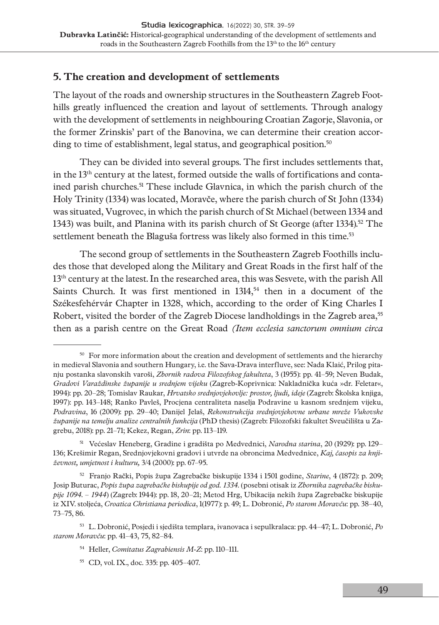# **5. The creation and development of settlements**

The layout of the roads and ownership structures in the Southeastern Zagreb Foothills greatly influenced the creation and layout of settlements. Through analogy with the development of settlements in neighbouring Croatian Zagorje, Slavonia, or the former Zrinskis' part of the Banovina, we can determine their creation according to time of establishment, legal status, and geographical position.<sup>50</sup>

They can be divided into several groups. The first includes settlements that, in the 13th century at the latest, formed outside the walls of fortifications and contained parish churches.<sup>51</sup> These include Glavnica, in which the parish church of the Holy Trinity (1334) was located, Moravče, where the parish church of St John (1334) was situated, Vugrovec, in which the parish church of St Michael (between 1334 and 1343) was built, and Planina with its parish church of St George (after 1334).<sup>52</sup> The settlement beneath the Blaguša fortress was likely also formed in this time.<sup>53</sup>

The second group of settlements in the Southeastern Zagreb Foothills includes those that developed along the Military and Great Roads in the first half of the  $13<sup>th</sup>$  century at the latest. In the researched area, this was Sesvete, with the parish All Saints Church. It was first mentioned in  $1314,54$  then in a document of the Székesfehérvár Chapter in 1328, which, according to the order of King Charles I Robert, visited the border of the Zagreb Diocese landholdings in the Zagreb area,<sup>55</sup> then as a parish centre on the Great Road *(Item ecclesia sanctorum omnium circa* 

52 Franjo Rački, Popis župa Zagrebačke biskupije 1334 i 1501 godine, *Starine*, 4 (1872): p. 209; Josip Buturac, *Popis župa zagrebačke biskupije od god. 1334.* (posebni otisak iz *Zbornika zagrebačke biskupije 1094. – 1944*) (Zagreb: 1944): pp. 18, 20–21; Metod Hrg, Ubikacija nekih župa Zagrebačke biskupije iz XIV. stoljeća, *Croatica Christiana periodica*, 1(1977): p. 49; L. Dobronić, *Po starom Moravču*: pp. 38–40, 73–75, 86.

53 L. Dobronić, Posjedi i sjedišta templara, ivanovaca i sepulkralaca: pp. 44–47; L. Dobronić, *Po starom Moravču*: pp. 41–43, 75, 82–84.

 $50$  For more information about the creation and development of settlements and the hierarchy in medieval Slavonia and southern Hungary, i.e. the Sava-Drava interfluve, see: Nada Klaić, Prilog pitanju postanka slavonskih varoši, *Zbornik radova Filozofskog fakulteta*, 3 (1955): pp. 41–59; Neven Budak, *Gradovi Varaždinske županije u srednjem vijeku* (Zagreb-Koprivnica: Nakladnička kuća »dr. Feletar«, 1994): pp. 20–28; Tomislav Raukar, *Hrvatsko srednjovjekovlje: prostor, ljudi, ideje* (Zagreb: Školska knjiga, 1997): pp. 143–148; Ranko Pavleš, Procjena centraliteta naselja Podravine u kasnom srednjem vijeku, *Podravina*, 16 (2009): pp. 29–40; Danijel Jelaš, *Rekonstrukcija srednjovjekovne urbane mreže Vukovske županije na temelju analize centralnih funkcija* (PhD thesis) (Zagreb: Filozofski fakultet Sveučilišta u Zagrebu, 2018): pp. 21–71; Kekez, Regan, *Zrin*: pp. 113–119.

<sup>51</sup> Većeslav Heneberg, Gradine i gradišta po Medvednici, *Narodna starina*, 20 (1929): pp. 129– 136; Krešimir Regan, Srednjovjekovni gradovi i utvrde na obroncima Medvednice, *Kaj, časopis za književnost, umjetnost i kulturu,* 3/4 (2000): pp. 67–95.

<sup>54</sup> Heller, *Comitatus Zagrabiensis M-Z*: pp. 110–111.

<sup>55</sup> CD, vol. IX., doc. 335: pp. 405–407.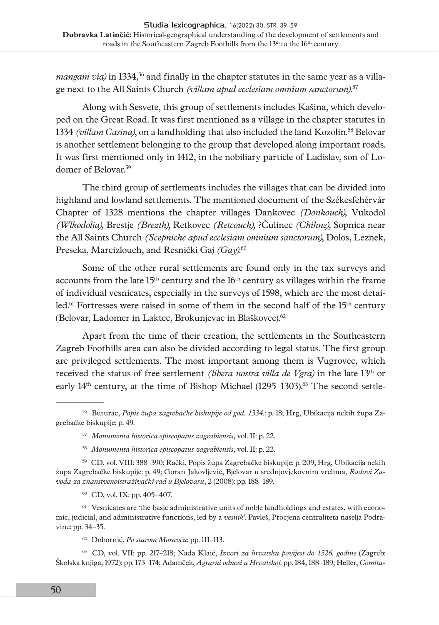*mangam via*) in 1334,<sup>56</sup> and finally in the chapter statutes in the same year as a village next to the All Saints Church *(villam apud ecclesiam omnium sanctorum).*<sup>57</sup>

Along with Sesvete, this group of settlements includes Kašina, which developed on the Great Road. It was first mentioned as a village in the chapter statutes in 1334 *(villam Casina)*, on a landholding that also included the land Kozolin.<sup>58</sup> Belovar is another settlement belonging to the group that developed along important roads. It was first mentioned only in 1412, in the nobiliary particle of Ladislav, son of Lodomer of Belovar.59

The third group of settlements includes the villages that can be divided into highland and lowland settlements. The mentioned document of the Székesfehérvár Chapter of 1328 mentions the chapter villages Dankovec *(Donkouch),* Vukodol *(Wlkodolia),* Brestje *(Brezth),* Retkovec *(Retcouch),* ?Čulinec *(Chihne),* Sopnica near the All Saints Church *(Scepniche apud ecclesiam omnium sanctorum),* Dolos, Leznek, Preseka, Marcizlouch, and Resnički Gaj *(Gay)*. 60

Some of the other rural settlements are found only in the tax surveys and accounts from the late  $15<sup>th</sup>$  century and the  $16<sup>th</sup>$  century as villages within the frame of individual vesnicates, especially in the surveys of 1598, which are the most detailed.<sup>61</sup> Fortresses were raised in some of them in the second half of the  $15<sup>th</sup>$  century (Belovar, Ladomer in Laktec, Brokunjevac in Blaškovec).<sup>62</sup>

Apart from the time of their creation, the settlements in the Southeastern Zagreb Foothills area can also be divided according to legal status. The first group are privileged settlements. The most important among them is Vugrovec, which received the status of free settlement *(libera nostra villa de Vgra)* in the late 13th or early  $14<sup>th</sup>$  century, at the time of Bishop Michael  $(1295-1303)<sup>63</sup>$  The second settle-

<sup>61</sup> Vesnicates are 'the basic administrative units of noble landholdings and estates, with economic, judicial, and administrative functions, led by a *vesnik*'. Pavleš, Procjena centraliteta naselja Podravine: pp. 34–35.

62 Dobornić, *Po starom Moravču*: pp. 111–113.

63 CD, vol. VII: pp. 217–218; Nada Klaić, *Izvori za hrvatsku povijest do 1526. godine* (Zagreb: Školska knjiga, 1972): pp. 173–174; Adamček, *Agrarni odnosi u Hrvatskoj*: pp. 184, 188–189; Heller, *Comita-*

<sup>56</sup> Buturac, *Popis župa zagrebačke biskupije od god. 1334.*: p. 18; Hrg, Ubikacija nekih župa Zagrebačke biskupije: p. 49.

<sup>57</sup> *Monumenta historica episcopatus zagrabiensis*, vol. II: p. 22.

<sup>58</sup> *Monumenta historica episcopatus zagrabiensis*, vol. II: p. 22.

<sup>59</sup> CD, vol. VIII: 388–390; Rački, Popis župa Zagrebačke biskupije: p. 209; Hrg, Ubikacija nekih župa Zagrebačke biskupije: p. 49; Goran Jakovljević, Bjelovar u srednjovjekovnim vrelima, *Radovi Zavoda za znanstvenoistraživački rad u Bjelovaru*, 2 (2008): pp. 188–189.

<sup>60</sup> CD, vol. IX: pp. 405–407.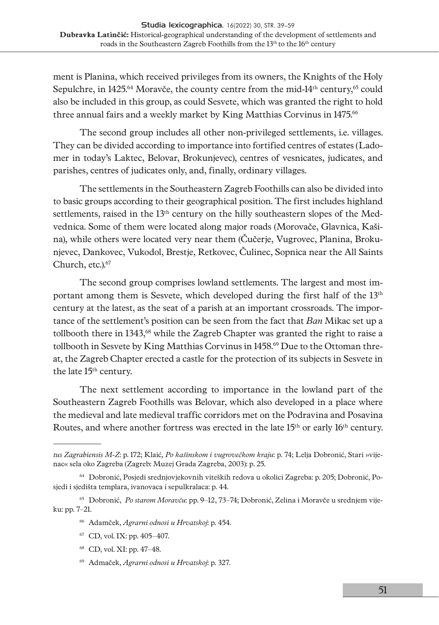ment is Planina, which received privileges from its owners, the Knights of the Holy Sepulchre, in 1425.<sup>64</sup> Moravče, the county centre from the mid-14<sup>th</sup> century,<sup>65</sup> could also be included in this group, as could Sesvete, which was granted the right to hold three annual fairs and a weekly market by King Matthias Corvinus in 1475.<sup>66</sup>

The second group includes all other non-privileged settlements, i.e. villages. They can be divided according to importance into fortified centres of estates (Ladomer in today's Laktec, Belovar, Brokunjevec), centres of vesnicates, judicates, and parishes, centres of judicates only, and, finally, ordinary villages.

The settlements in the Southeastern Zagreb Foothills can also be divided into to basic groups according to their geographical position. The first includes highland settlements, raised in the  $13<sup>th</sup>$  century on the hilly southeastern slopes of the Medvednica. Some of them were located along major roads (Morovače, Glavnica, Kašina), while others were located very near them (Čučerje, Vugrovec, Planina, Brokunjevec, Dankovec, Vukodol, Brestje, Retkovec, Čulinec, Sopnica near the All Saints Church, etc.).67

The second group comprises lowland settlements. The largest and most important among them is Sesvete, which developed during the first half of the 13<sup>th</sup> century at the latest, as the seat of a parish at an important crossroads. The importance of the settlement's position can be seen from the fact that *Ban* Mikac set up a tollbooth there in 1343,68 while the Zagreb Chapter was granted the right to raise a tollbooth in Sesvete by King Matthias Corvinus in 1458.<sup>69</sup> Due to the Ottoman threat, the Zagreb Chapter erected a castle for the protection of its subjects in Sesvete in the late 15<sup>th</sup> century.

The next settlement according to importance in the lowland part of the Southeastern Zagreb Foothills was Belovar, which also developed in a place where the medieval and late medieval traffic corridors met on the Podravina and Posavina Routes, and where another fortress was erected in the late 15th or early 16th century.

68 CD, vol. XI: pp. 47–48.

*tus Zagrabiensis M-Z*: p. 172; Klaić*, Po kašinskom i vugrovečkom kraju*: p. 74; Lelja Dobronić, Stari »vijenac« sela oko Zagreba (Zagreb: Muzej Grada Zagreba, 2003): p. 25.

<sup>64</sup> Dobronić, Posjedi srednjovjekovnih viteških redova u okolici Zagreba: p. 205; Dobronić, Posjedi i sjedišta templara, ivanovaca i sepulkralaca: p. 44.

<sup>65</sup> Dobronić, *Po starom Moravču*: pp. 9–12, 73–74; Dobronić, Zelina i Moravče u srednjem vijeku: pp. 7–21.

<sup>66</sup> Adamček, *Agrarni odnosi u Hrvatskoj*: p. 454.

<sup>67</sup> CD, vol. IX: pp. 405–407.

<sup>69</sup> Admaček, *Agrarni odnosi u Hrvatskoj*: p. 327.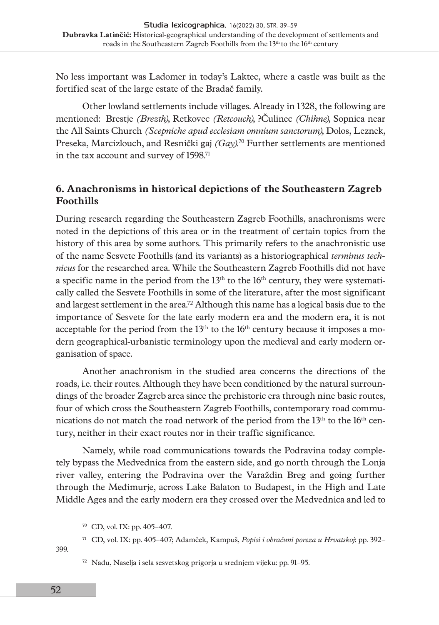No less important was Ladomer in today's Laktec, where a castle was built as the fortified seat of the large estate of the Bradač family.

Other lowland settlements include villages. Already in 1328, the following are mentioned: Brestje *(Brezth),* Retkovec *(Retcouch),* ?Čulinec *(Chihne),* Sopnica near the All Saints Church *(Scepniche apud ecclesiam omnium sanctorum),* Dolos, Leznek, Preseka, Marcizlouch, and Resnički gaj  $(Gay)^{70}$  Further settlements are mentioned in the tax account and survey of 1598.<sup>71</sup>

# **6. Anachronisms in historical depictions of the Southeastern Zagreb Foothills**

During research regarding the Southeastern Zagreb Foothills, anachronisms were noted in the depictions of this area or in the treatment of certain topics from the history of this area by some authors. This primarily refers to the anachronistic use of the name Sesvete Foothills (and its variants) as a historiographical *terminus technicus* for the researched area. While the Southeastern Zagreb Foothills did not have a specific name in the period from the 13<sup>th</sup> to the 16<sup>th</sup> century, they were systematically called the Sesvete Foothills in some of the literature, after the most significant and largest settlement in the area.72 Although this name has a logical basis due to the importance of Sesvete for the late early modern era and the modern era, it is not acceptable for the period from the  $13<sup>th</sup>$  to the 16<sup>th</sup> century because it imposes a modern geographical-urbanistic terminology upon the medieval and early modern organisation of space.

Another anachronism in the studied area concerns the directions of the roads, i.e. their routes. Although they have been conditioned by the natural surroundings of the broader Zagreb area since the prehistoric era through nine basic routes, four of which cross the Southeastern Zagreb Foothills, contemporary road communications do not match the road network of the period from the  $13<sup>th</sup>$  to the  $16<sup>th</sup>$  century, neither in their exact routes nor in their traffic significance.

Namely, while road communications towards the Podravina today completely bypass the Medvednica from the eastern side, and go north through the Lonja river valley, entering the Podravina over the Varaždin Breg and going further through the Međimurje, across Lake Balaton to Budapest, in the High and Late Middle Ages and the early modern era they crossed over the Medvednica and led to

399.

<sup>70</sup> CD, vol. IX: pp. 405–407.

<sup>71</sup> CD, vol. IX: pp. 405–407; Adamček, Kampuš, *Popisi i obračuni poreza u Hrvatskoj*: pp. 392–

<sup>72</sup> Nadu, Naselja i sela sesvetskog prigorja u srednjem vijeku: pp. 91–95.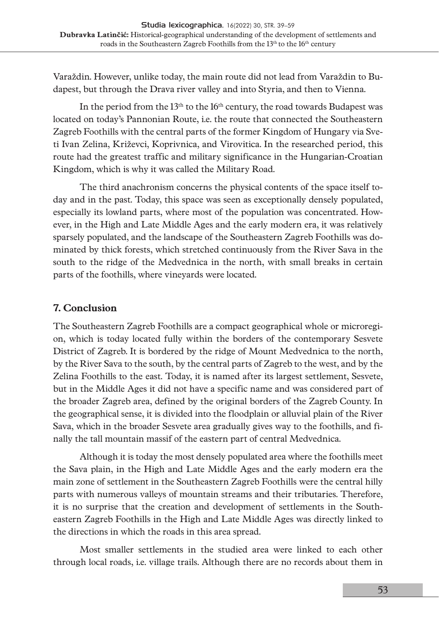Varaždin. However, unlike today, the main route did not lead from Varaždin to Budapest, but through the Drava river valley and into Styria, and then to Vienna.

In the period from the  $13<sup>th</sup>$  to the  $16<sup>th</sup>$  century, the road towards Budapest was located on today's Pannonian Route, i.e. the route that connected the Southeastern Zagreb Foothills with the central parts of the former Kingdom of Hungary via Sveti Ivan Zelina, Križevci, Koprivnica, and Virovitica. In the researched period, this route had the greatest traffic and military significance in the Hungarian-Croatian Kingdom, which is why it was called the Military Road.

The third anachronism concerns the physical contents of the space itself today and in the past. Today, this space was seen as exceptionally densely populated, especially its lowland parts, where most of the population was concentrated. However, in the High and Late Middle Ages and the early modern era, it was relatively sparsely populated, and the landscape of the Southeastern Zagreb Foothills was dominated by thick forests, which stretched continuously from the River Sava in the south to the ridge of the Medvednica in the north, with small breaks in certain parts of the foothills, where vineyards were located.

## **7. Conclusion**

The Southeastern Zagreb Foothills are a compact geographical whole or microregion, which is today located fully within the borders of the contemporary Sesvete District of Zagreb. It is bordered by the ridge of Mount Medvednica to the north, by the River Sava to the south, by the central parts of Zagreb to the west, and by the Zelina Foothills to the east. Today, it is named after its largest settlement, Sesvete, but in the Middle Ages it did not have a specific name and was considered part of the broader Zagreb area, defined by the original borders of the Zagreb County. In the geographical sense, it is divided into the floodplain or alluvial plain of the River Sava, which in the broader Sesvete area gradually gives way to the foothills, and finally the tall mountain massif of the eastern part of central Medvednica.

Although it is today the most densely populated area where the foothills meet the Sava plain, in the High and Late Middle Ages and the early modern era the main zone of settlement in the Southeastern Zagreb Foothills were the central hilly parts with numerous valleys of mountain streams and their tributaries. Therefore, it is no surprise that the creation and development of settlements in the Southeastern Zagreb Foothills in the High and Late Middle Ages was directly linked to the directions in which the roads in this area spread.

Most smaller settlements in the studied area were linked to each other through local roads, i.e. village trails. Although there are no records about them in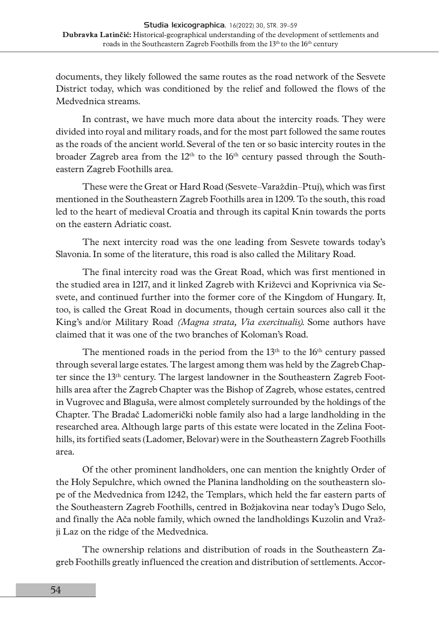documents, they likely followed the same routes as the road network of the Sesvete District today, which was conditioned by the relief and followed the flows of the Medvednica streams.

In contrast, we have much more data about the intercity roads. They were divided into royal and military roads, and for the most part followed the same routes as the roads of the ancient world. Several of the ten or so basic intercity routes in the broader Zagreb area from the  $12<sup>th</sup>$  to the  $16<sup>th</sup>$  century passed through the Southeastern Zagreb Foothills area.

These were the Great or Hard Road (Sesvete–Varaždin–Ptuj), which was first mentioned in the Southeastern Zagreb Foothills area in 1209. To the south, this road led to the heart of medieval Croatia and through its capital Knin towards the ports on the eastern Adriatic coast.

The next intercity road was the one leading from Sesvete towards today's Slavonia. In some of the literature, this road is also called the Military Road.

The final intercity road was the Great Road, which was first mentioned in the studied area in 1217, and it linked Zagreb with Križevci and Koprivnica via Sesvete, and continued further into the former core of the Kingdom of Hungary. It, too, is called the Great Road in documents, though certain sources also call it the King's and/or Military Road *(Magna strata, Via exercitualis)*. Some authors have claimed that it was one of the two branches of Koloman's Road.

The mentioned roads in the period from the  $13<sup>th</sup>$  to the  $16<sup>th</sup>$  century passed through several large estates. The largest among them was held by the Zagreb Chapter since the 13th century. The largest landowner in the Southeastern Zagreb Foothills area after the Zagreb Chapter was the Bishop of Zagreb, whose estates, centred in Vugrovec and Blaguša, were almost completely surrounded by the holdings of the Chapter. The Bradač Ladomerički noble family also had a large landholding in the researched area. Although large parts of this estate were located in the Zelina Foothills, its fortified seats (Ladomer, Belovar) were in the Southeastern Zagreb Foothills area.

Of the other prominent landholders, one can mention the knightly Order of the Holy Sepulchre, which owned the Planina landholding on the southeastern slope of the Medvednica from 1242, the Templars, which held the far eastern parts of the Southeastern Zagreb Foothills, centred in Božjakovina near today's Dugo Selo, and finally the Ača noble family, which owned the landholdings Kuzolin and Vražji Laz on the ridge of the Medvednica.

The ownership relations and distribution of roads in the Southeastern Zagreb Foothills greatly influenced the creation and distribution of settlements. Accor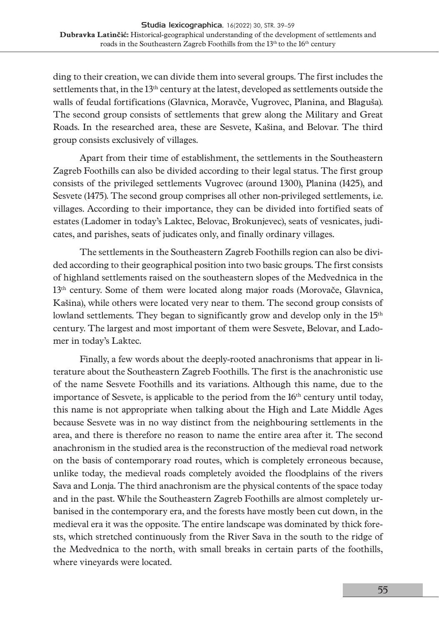ding to their creation, we can divide them into several groups. The first includes the settlements that, in the 13<sup>th</sup> century at the latest, developed as settlements outside the walls of feudal fortifications (Glavnica, Moravče, Vugrovec, Planina, and Blaguša). The second group consists of settlements that grew along the Military and Great Roads. In the researched area, these are Sesvete, Kašina, and Belovar. The third group consists exclusively of villages.

Apart from their time of establishment, the settlements in the Southeastern Zagreb Foothills can also be divided according to their legal status. The first group consists of the privileged settlements Vugrovec (around 1300), Planina (1425), and Sesvete (1475). The second group comprises all other non-privileged settlements, i.e. villages. According to their importance, they can be divided into fortified seats of estates (Ladomer in today's Laktec, Belovac, Brokunjevec), seats of vesnicates, judicates, and parishes, seats of judicates only, and finally ordinary villages.

The settlements in the Southeastern Zagreb Foothills region can also be divided according to their geographical position into two basic groups. The first consists of highland settlements raised on the southeastern slopes of the Medvednica in the 13<sup>th</sup> century. Some of them were located along major roads (Morovače, Glavnica, Kašina), while others were located very near to them. The second group consists of lowland settlements. They began to significantly grow and develop only in the  $15<sup>th</sup>$ century. The largest and most important of them were Sesvete, Belovar, and Ladomer in today's Laktec.

Finally, a few words about the deeply-rooted anachronisms that appear in literature about the Southeastern Zagreb Foothills. The first is the anachronistic use of the name Sesvete Foothills and its variations. Although this name, due to the importance of Sesvete, is applicable to the period from the  $16<sup>th</sup>$  century until today, this name is not appropriate when talking about the High and Late Middle Ages because Sesvete was in no way distinct from the neighbouring settlements in the area, and there is therefore no reason to name the entire area after it. The second anachronism in the studied area is the reconstruction of the medieval road network on the basis of contemporary road routes, which is completely erroneous because, unlike today, the medieval roads completely avoided the floodplains of the rivers Sava and Lonja. The third anachronism are the physical contents of the space today and in the past. While the Southeastern Zagreb Foothills are almost completely urbanised in the contemporary era, and the forests have mostly been cut down, in the medieval era it was the opposite. The entire landscape was dominated by thick forests, which stretched continuously from the River Sava in the south to the ridge of the Medvednica to the north, with small breaks in certain parts of the foothills, where vineyards were located.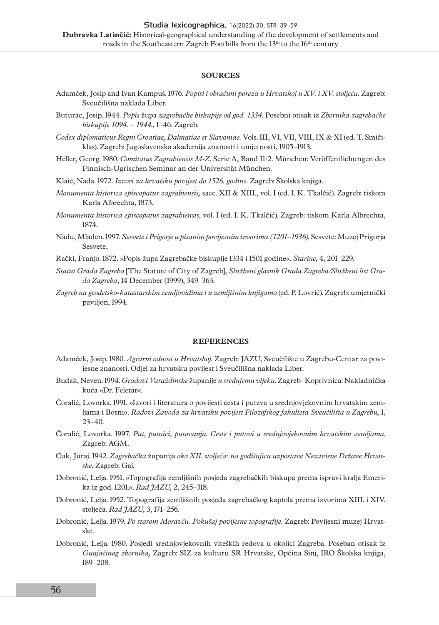#### **SOURCES**

- Adamček, Josip and Ivan Kampuš. 1976*. Popisi i obračuni poreza u Hrvatskoj u XV. i XV. stoljeću.* Zagreb: Sveučilišna naklada Liber.
- Buturac, Josip. 1944. *Popis* župa *zagrebačke biskupije od god. 1334.* Posebni otisak iz *Zbornika zagrebačke biskupije 1094. – 1944.,* 1–46. Zagreb.
- *Codex diplomaticus Regni Croatiae, Dalmatiae et Slavoniae.* Vols. III, VI, VII, VIII, IX & XI (ed. T. Smičiklas). Zagreb: Jugoslavenska akademija znanosti i umjetnosti, 1905–1913.
- Heller, Georg. 1980. *Comitatus Zagrabiensis M-Z*, Serie A, Band 11/2. München: Veröffentlichungen des Finnisch-Ugrischen Seminar an der Universität München.
- Klaić, Nada. 1972. *Izvori za hrvatsku povijest do 1526. godine.* Zagreb: Školska knjiga.
- *Monumenta historica episcopatus zagrabiensis,* saec. XII & XIII., vol. I (ed. I. K. Tkalčić). Zagreb: tiskom Karla Albrechta, 1873.
- *Monumenta historica episcopatus zagrabiensis*, vol. I (ed. I. K. Tkalčić). Zagreb: tiskom Karla Albrechta, 1874.
- Nadu, Mladen. 1997. *Sesvete i Prigorje u pisanim povijesnim izvorima (1201–1936).* Sesvete: Muzej Prigorja Sesvete,
- Rački, Franjo. 1872. »Popis župa Zagrebačke biskupije 1334 i 1501 godine«. *Starine,* 4, 201–229.
- *Statut Grada Zagreba* [The Statute of City of Zagreb], *Službeni glasnik Grada Zagreba/Službeni list Grada Zagreba*, 14 December (1999), 349–363.
- *Zagreb na geodetsko-katastarskim zemljovidima i u zemljišnim knjigama* (ed. P. Lovrić). Zagreb: umjetnički paviljon, 1994.

#### **REFERENCES**

- Adamček, Josip. 1980. *Agrarni odnosi u Hrvatskoj.* Zagreb: JAZU, Sveučilište u Zagrebu-Centar za povijesne znanosti. Odjel za hrvatsku povijest i Sveučilišna naklada Liber.
- Budak, Neven. 1994. *Gradovi Varaždinske* županije *u srednjemu vijeku*. Zagreb–Koprivnica: Nakladnička kuća »Dr. Feletar«.
- Čoralić, Lovorka. 1991. »Izvori i literatura o povijesti cesta i puteva u srednjovjekovnim hrvatskim zemljama i Bosni«. *Radovi Zavoda za hrvatsku povijest Filozofskog fakulteta Sveučilišta u Zagrebu,* 1, 23–40.
- Čoralić, Lovorka. 1997. *Put, putnici, putovanja. Ceste i putovi u srednjovjekovnim hrvatskim zemljama*. Zagreb: AGM.
- Ćuk, Juraj. 1942. *Zagrebačka* županija *oko XII. stoljeća: na godišnjicu uzpostave Nezavisne Države Hrvatske.* Zagreb: Gaj.
- Dobronić, Lelja. 1951. »Topografija zemljišnih posjeda zagrebačkih biskupa prema ispravi kralja Emerika iz god. 1201.«. *Rad JAZU,* 2, 245–318.
- Dobronić, Lelja. 1952. Topografija zemljišnih posjeda zagrebačkog kaptola prema izvorima XIII. i XIV. stoljeća. *Rad JAZU,* 3, 171–256.
- Dobronić, Lelja. 1979. *Po starom Moravču. Pokušaj povijesne topografije.* Zagreb: Povijesni muzej Hrvatske.
- Dobronić, Lelja. 1980. Posjedi srednjovjekovnih viteških redova u okolici Zagreba. Poseban otisak iz *Gunjačinog zbornika,* Zagreb: SIZ za kulturu SR Hrvatske, Općina Sinj, IRO Školska knjiga, 189–208.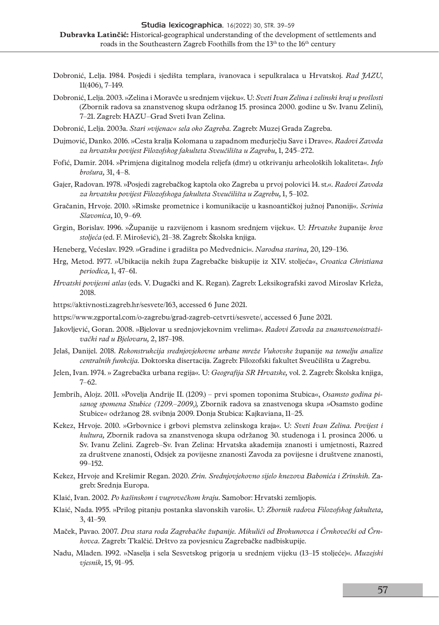- Dobronić, Lelja. 1984. Posjedi i sjedišta templara, ivanovaca i sepulkralaca u Hrvatskoj. *Rad JAZU*, 11(406), 7–149.
- Dobronić, Lelja. 2003. »Zelina i Moravče u srednjem vijeku«. U: *Sveti Ivan Zelina i zelinski kraj u prošlosti* (Zbornik radova sa znanstvenog skupa održanog 15. prosinca 2000. godine u Sv. Ivanu Zelini), 7–21. Zagreb: HAZU–Grad Sveti Ivan Zelina.
- Dobronić, Lelja. 2003a. *Stari »vijenac« sela oko Zagreba.* Zagreb: Muzej Grada Zagreba.
- Dujmović, Danko. 2016. »Cesta kralja Kolomana u zapadnom međurječju Save i Drave«. *Radovi Zavoda za hrvatsku povijest Filozofskog fakulteta Sveučilišta u Zagrebu,* 1, 245–272.
- Fofić, Damir. 2014. »Primjena digitalnog modela reljefa (dmr) u otkrivanju arheoloških lokaliteta«. *Info brošura,* 31, 4–8.
- Gajer, Radovan. 1978. »Posjedi zagrebačkog kaptola oko Zagreba u prvoj polovici 14. st.«. *Radovi Zavoda za hrvatsku povijest Filozofskoga fakulteta Sveučilišta u Zagrebu,* 1, 5–102.
- Gračanin, Hrvoje. 2010. »Rimske prometnice i komunikacije u kasnoantičkoj južnoj Panoniji«. *Scrinia Slavonica,* 10, 9–69.
- Grgin, Borislav. 1996. »Županije u razvijenom i kasnom srednjem vijeku«. U: *Hrvatske* županije *kroz stoljeća* (ed. F. Mirošević), 21–38. Zagreb: Školska knjiga.
- Heneberg, Većeslav. 1929. »Gradine i gradišta po Medvednici«. *Narodna starina,* 20, 129–136.
- Hrg, Metod. 1977. »Ubikacija nekih župa Zagrebačke biskupije iz XIV. stoljeća«, *Croatica Christiana periodica,* 1, 47–61.
- *Hrvatski povijesni atlas* (eds. V. Dugački and K. Regan). Zagreb: Leksikografski zavod Miroslav Krleža, 2018.
- <https://aktivnosti.zagreb.hr/sesvete/163>, accessed 6 June 2021.
- [https://www.zgportal.com/o-zagrebu/grad-zagreb-cetvrti/sesvete/,](https://www.zgportal.com/o-zagrebu/grad-zagreb-cetvrti/sesvete/) accessed 6 June 2021.
- Jakovljević, Goran. 2008. »Bjelovar u srednjovjekovnim vrelima«. *Radovi Zavoda za znanstvenoistraživački rad u Bjelovaru,* 2, 187–198.
- Jelaš, Danijel. 2018. *Rekonstrukcija srednjovjekovne urbane mreže Vukovske* županije *na temelju analize centralnih funkcija.* Doktorska disertacija. Zagreb: Filozofski fakultet Sveučilišta u Zagrebu.
- Jelen, Ivan. 1974. » Zagrebačka urbana regija«. U: *Geografija SR Hrvatske,* vol. 2. Zagreb: Školska knjiga, 7–62.
- Jembrih, Alojz. 2011. »Povelja Andrije II. (1209.) prvi spomen toponima Stubica«, *Osamsto godina pisanog spomena Stubice (1209.–2009.),* Zbornik radova sa znastvenoga skupa *»*Osamsto godine Stubice*«* održanog 28. svibnja 2009. Donja Stubica: Kajkaviana, 11–25.
- Kekez, Hrvoje. 2010. »Grbovnice i grbovi plemstva zelinskoga kraja«. U: *Sveti Ivan Zelina. Povijest i kultura,* Zbornik radova sa znanstvenoga skupa održanog 30. studenoga i 1. prosinca 2006. u Sv. Ivanu Zelini. Zagreb–Sv. Ivan Zelina: Hrvatska akademija znanosti i umjetnosti, Razred za društvene znanosti, Odsjek za povijesne znanosti Zavoda za povijesne i društvene znanosti, 99–152.
- Kekez, Hrvoje and Krešimir Regan. 2020. *Zrin. Srednjovjekovno sijelo knezova Babonića i Zrinskih.* Zagreb: Srednja Europa.
- Klaić, Ivan. 2002. *Po kašinskom i vugrovečkom kraju.* Samobor: Hrvatski zemljopis.
- Klaić, Nada. 1955. »Prilog pitanju postanka slavonskih varoši«. U: *Zbornik radova Filozofskog fakulteta,*  3, 41–59.
- Maček, Pavao. 2007. *Dva stara roda Zagrebačke županije. Mikuliči od Brokunovca i Črnkovečki od Črnkovca.* Zagreb: Tkalčić. Drštvo za povjesnicu Zagrebačke nadbiskupije.
- Nadu, Mladen. 1992. »Naselja i sela Sesvetskog prigorja u srednjem vijeku (13–15 stoljeće)«. *Muzejski vjesnik,* 15, 91–95.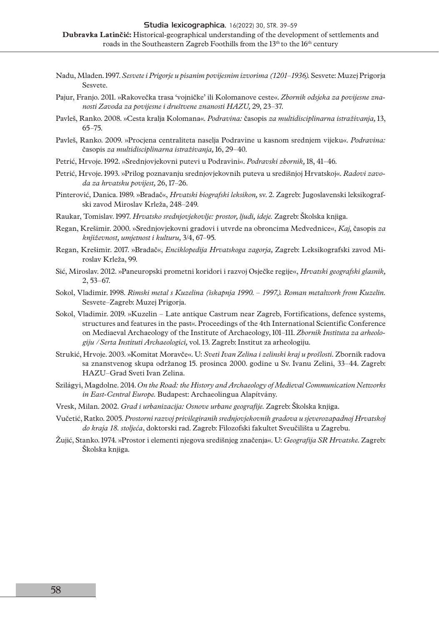- Nadu, Mladen. 1997. *Sesvete i Prigorje u pisanim povijesnim izvorima (1201–1936).* Sesvete: Muzej Prigorja Sesvete.
- Pajur, Franjo. 2011. »Rakovečka trasa 'vojničke' ili Kolomanove ceste«. *Zbornik odsjeka za povijesne znanosti Zavoda za povijesne i društvene znanosti HAZU,* 29, 23–37.
- Pavleš, Ranko. 2008. »Cesta kralja Kolomana«. *Podravina:* časopis *za multidisciplinarna istraživanja,* 13, 65–75.
- Pavleš, Ranko. 2009. »Procjena centraliteta naselja Podravine u kasnom srednjem vijeku«. *Podravina:*  časopis *za multidisciplinarna istraživanja,* 16, 29–40.
- Petrić, Hrvoje. 1992. »Srednjovjekovni putevi u Podravini«. *Podravski zbornik,* 18, 41–46.
- Petrić, Hrvoje. 1993. »Prilog poznavanju srednjovjekovnih puteva u središnjoj Hrvatskoj«. *Radovi zavoda za hrvatsku povijest,* 26, 17–26.
- Pinterović, Danica. 1989. »Bradač«, *Hrvatski biografski leksikon,* sv. 2. Zagreb: Jugoslavenski leksikografski zavod Miroslav Krleža, 248–249.
- Raukar, Tomislav. 1997. *Hrvatsko srednjovjekovlje: prostor, ljudi, ideje.* Zagreb: Školska knjiga.
- Regan, Krešimir. 2000. »Srednjovjekovni gradovi i utvrde na obroncima Medvednice«, *Kaj,* časopis *za književnost, umjetnost i kulturu,* 3/4, 67–95.
- Regan, Krešimir. 2017. »Bradač«, *Enciklopedija Hrvatskoga zagorja,* Zagreb: Leksikografski zavod Miroslav Krleža, 99.
- Sić, Miroslav. 2012. »Paneuropski prometni koridori i razvoj Osječke regije«, *Hrvatski geografski glasnik,* 2, 53–67.
- Sokol, Vladimir. 1998. *Rimski metal s Kuzelina (iskapnja 1990. 1997.). Roman metalwork from Kuzelin.*  Sesvete–Zagreb: Muzej Prigorja.
- Sokol, Vladimir. 2019. »Kuzelin Late antique Castrum near Zagreb, Fortifications, defence systems, structures and features in the past«. Proceedings of the 4th International Scientific Conference on Mediaeval Archaeology of the Institute of Archaeology, 101–111. *Zbornik Instituta za arheologiju / Serta Instituti Archaeologici,* vol. 13. Zagreb: Institut za arheologiju.
- Strukić, Hrvoje. 2003. »Komitat Moravče«. U: *Sveti Ivan Zelina i zelinski kraj u prošlosti.* Zbornik radova sa znanstvenog skupa održanog 15. prosinca 2000. godine u Sv. Ivanu Zelini, 33–44. Zagreb: HAZU–Grad Sveti Ivan Zelina.
- Szilágyi, Magdolne. 2014. *On the Road: the History and Archaeology of Medieval Communication Networks in East-Central Europe.* Budapest: Archaeolingua Alapítvány.
- Vresk, Milan. 2002. *Grad i urbanizacija: Osnove urbane geografije.* Zagreb: Školska knjiga.
- Vučetić, Ratko. 2005. *Prostorni razvoj privilegiranih srednjovjekovnih gradova u sjeverozapadnoj Hrvatskoj do kraja 18. stoljeća*, doktorski rad. Zagreb: Filozofski fakultet Sveučilišta u Zagrebu.
- Žujić, Stanko. 1974. »Prostor i elementi njegova središnjeg značenja«. U: *Geografija SR Hrvatske.* Zagreb: Školska knjiga.